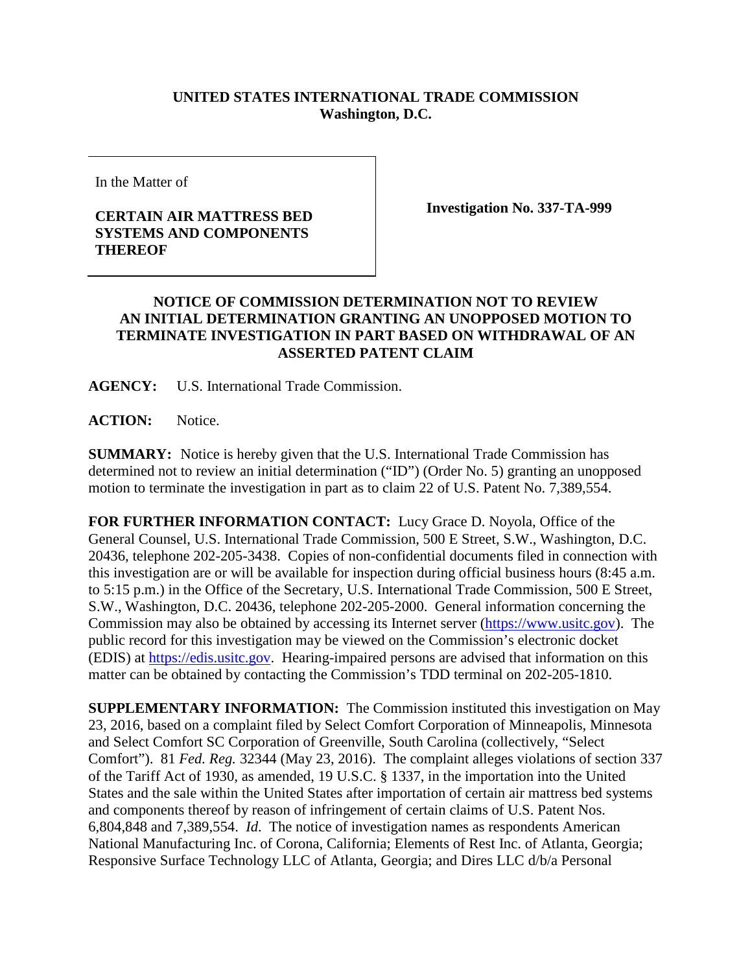## **UNITED STATES INTERNATIONAL TRADE COMMISSION Washington, D.C.**

In the Matter of

## **CERTAIN AIR MATTRESS BED SYSTEMS AND COMPONENTS THEREOF**

**Investigation No. 337-TA-999**

## **NOTICE OF COMMISSION DETERMINATION NOT TO REVIEW AN INITIAL DETERMINATION GRANTING AN UNOPPOSED MOTION TO TERMINATE INVESTIGATION IN PART BASED ON WITHDRAWAL OF AN ASSERTED PATENT CLAIM**

**AGENCY:** U.S. International Trade Commission.

**ACTION:** Notice.

**SUMMARY:** Notice is hereby given that the U.S. International Trade Commission has determined not to review an initial determination ("ID") (Order No. 5) granting an unopposed motion to terminate the investigation in part as to claim 22 of U.S. Patent No. 7,389,554.

**FOR FURTHER INFORMATION CONTACT:** Lucy Grace D. Noyola, Office of the General Counsel, U.S. International Trade Commission, 500 E Street, S.W., Washington, D.C. 20436, telephone 202-205-3438. Copies of non-confidential documents filed in connection with this investigation are or will be available for inspection during official business hours (8:45 a.m. to 5:15 p.m.) in the Office of the Secretary, U.S. International Trade Commission, 500 E Street, S.W., Washington, D.C. 20436, telephone 202-205-2000. General information concerning the Commission may also be obtained by accessing its Internet server [\(https://www.usitc.gov\)](https://www.usitc.gov/). The public record for this investigation may be viewed on the Commission's electronic docket (EDIS) at [https://edis.usitc.gov.](https://edis.usitc.gov/) Hearing-impaired persons are advised that information on this matter can be obtained by contacting the Commission's TDD terminal on 202-205-1810.

**SUPPLEMENTARY INFORMATION:** The Commission instituted this investigation on May 23, 2016, based on a complaint filed by Select Comfort Corporation of Minneapolis, Minnesota and Select Comfort SC Corporation of Greenville, South Carolina (collectively, "Select Comfort"). 81 *Fed. Reg.* 32344 (May 23, 2016). The complaint alleges violations of section 337 of the Tariff Act of 1930, as amended, 19 U.S.C. § 1337, in the importation into the United States and the sale within the United States after importation of certain air mattress bed systems and components thereof by reason of infringement of certain claims of U.S. Patent Nos. 6,804,848 and 7,389,554. *Id*. The notice of investigation names as respondents American National Manufacturing Inc. of Corona, California; Elements of Rest Inc. of Atlanta, Georgia; Responsive Surface Technology LLC of Atlanta, Georgia; and Dires LLC d/b/a Personal